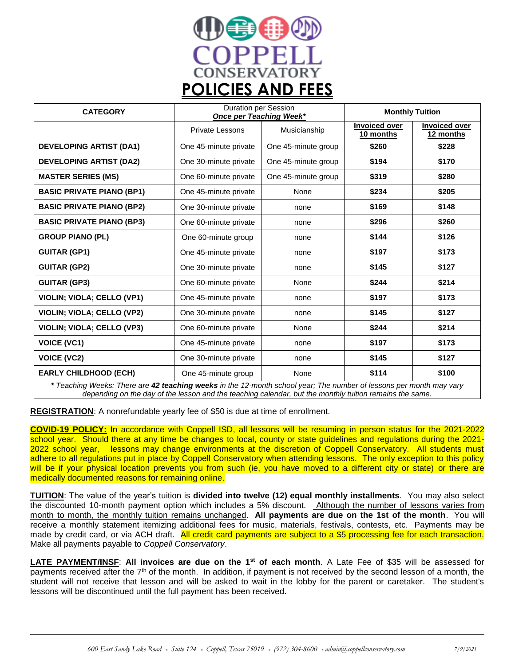

| <b>CATEGORY</b>                                                                                                     | <b>Duration per Session</b><br><b>Once per Teaching Week*</b> |                     | <b>Monthly Tuition</b>            |                                   |
|---------------------------------------------------------------------------------------------------------------------|---------------------------------------------------------------|---------------------|-----------------------------------|-----------------------------------|
|                                                                                                                     | <b>Private Lessons</b>                                        | Musicianship        | <b>Invoiced over</b><br>10 months | <b>Invoiced over</b><br>12 months |
| <b>DEVELOPING ARTIST (DA1)</b>                                                                                      | One 45-minute private                                         | One 45-minute group | \$260                             | \$228                             |
| <b>DEVELOPING ARTIST (DA2)</b>                                                                                      | One 30-minute private                                         | One 45-minute group | \$194                             | \$170                             |
| <b>MASTER SERIES (MS)</b>                                                                                           | One 60-minute private                                         | One 45-minute group | \$319                             | \$280                             |
| <b>BASIC PRIVATE PIANO (BP1)</b>                                                                                    | One 45-minute private                                         | None                | \$234                             | \$205                             |
| <b>BASIC PRIVATE PIANO (BP2)</b>                                                                                    | One 30-minute private                                         | none                | \$169                             | \$148                             |
| <b>BASIC PRIVATE PIANO (BP3)</b>                                                                                    | One 60-minute private                                         | none                | \$296                             | \$260                             |
| <b>GROUP PIANO (PL)</b>                                                                                             | One 60-minute group                                           | none                | \$144                             | \$126                             |
| <b>GUITAR (GP1)</b>                                                                                                 | One 45-minute private                                         | none                | \$197                             | \$173                             |
| <b>GUITAR (GP2)</b>                                                                                                 | One 30-minute private                                         | none                | \$145                             | \$127                             |
| <b>GUITAR (GP3)</b>                                                                                                 | One 60-minute private                                         | None                | \$244                             | \$214                             |
| <b>VIOLIN: VIOLA: CELLO (VP1)</b>                                                                                   | One 45-minute private                                         | none                | \$197                             | \$173                             |
| <b>VIOLIN; VIOLA; CELLO (VP2)</b>                                                                                   | One 30-minute private                                         | none                | \$145                             | \$127                             |
| VIOLIN; VIOLA; CELLO (VP3)                                                                                          | One 60-minute private                                         | None                | \$244                             | \$214                             |
| <b>VOICE (VC1)</b>                                                                                                  | One 45-minute private                                         | none                | \$197                             | \$173                             |
| <b>VOICE (VC2)</b>                                                                                                  | One 30-minute private                                         | none                | \$145                             | \$127                             |
| <b>EARLY CHILDHOOD (ECH)</b>                                                                                        | One 45-minute group                                           | None                | \$114                             | \$100                             |
| * Teaching Weeks: There are 42 teaching weeks in the 12-month school year; The number of lessons per month may vary |                                                               |                     |                                   |                                   |

*depending on the day of the lesson and the teaching calendar, but the monthly tuition remains the same.*

**REGISTRATION**: A nonrefundable yearly fee of \$50 is due at time of enrollment.

**COVID-19 POLICY:** In accordance with Coppell ISD, all lessons will be resuming in person status for the 2021-2022 school year. Should there at any time be changes to local, county or state guidelines and regulations during the 2021- 2022 school year, lessons may change environments at the discretion of Coppell Conservatory. All students must adhere to all regulations put in place by Coppell Conservatory when attending lessons. The only exception to this policy will be if your physical location prevents you from such (ie, you have moved to a different city or state) or there are medically documented reasons for remaining online.

**TUITION**: The value of the year's tuition is **divided into twelve (12) equal monthly installments**. You may also select the discounted 10-month payment option which includes a 5% discount. Although the number of lessons varies from month to month, the monthly tuition remains unchanged. **All payments are due on the 1st of the month**. You will receive a monthly statement itemizing additional fees for music, materials, festivals, contests, etc. Payments may be made by credit card, or via ACH draft. All credit card payments are subject to a \$5 processing fee for each transaction. Make all payments payable to *Coppell Conservatory*.

**LATE PAYMENT/INSF**: **All invoices are due on the 1st of each month**. A Late Fee of \$35 will be assessed for payments received after the 7<sup>th</sup> of the month. In addition, if payment is not received by the second lesson of a month, the student will not receive that lesson and will be asked to wait in the lobby for the parent or caretaker. The student's lessons will be discontinued until the full payment has been received.